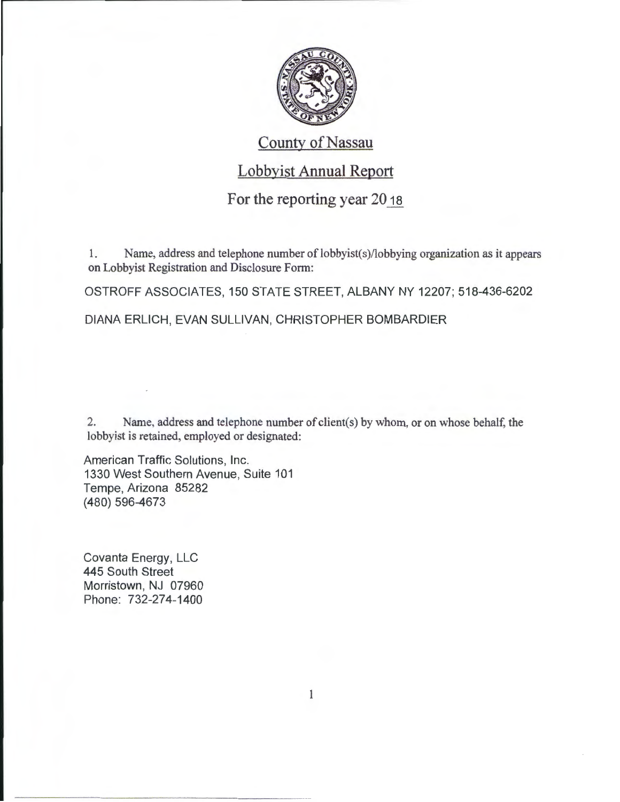

### **County of Nassau**

## Lobbyist Annual Report

#### For the reporting year 20<sub>18</sub>

1. Name, address and telephone number of lobbyist(s)/lobbying organization as it appears on Lobbyist Registration and Disclosure Form:

OSTROFF ASSOCIATES, 150 STATE STREET, ALBANY NY 12207; 518-436-6202

DIANA ERLICH, EVAN SULLIVAN, CHRISTOPHER BOMBARDIER

2. Name, address and telephone number of client(s) by whom, or on whose behalf, the lobbyist is retained, employed or designated:

American Traffic Solutions, Inc. 1330 West Southern Avenue, Suite 101 Tempe, Arizona 85282 (480) 596-4673

Covanta Energy, LLC 445 South Street Morristown, NJ 07960 Phone: 732-274-1400

 $\mathbbm{1}$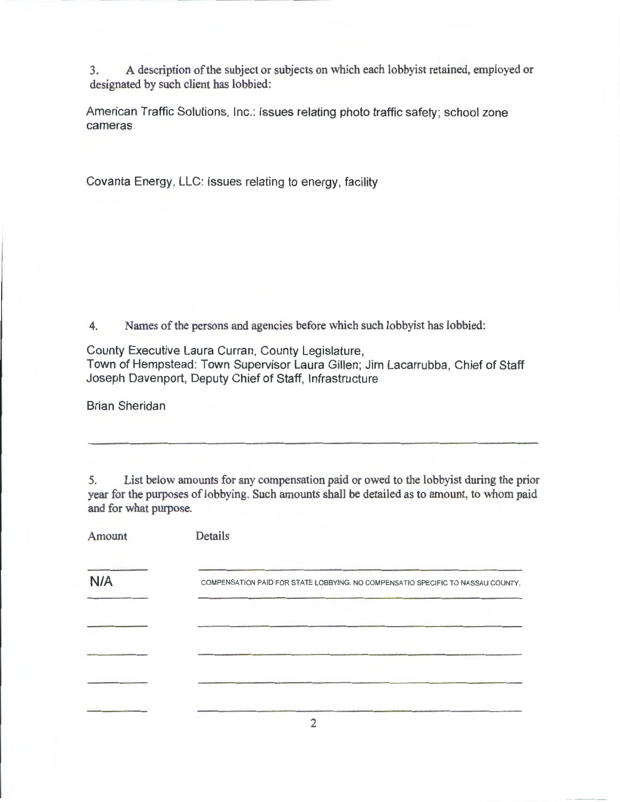3. A description of the subject or subjects on which each lobbyist retained, employed or designated by such client has lobbied:

American Traffic Solutions, Inc.: Issues relating photo traffic safety; school zone cameras

Covanta Energy, LLC: Issues relating to energy, facility

4. Names of the persons and agencies before which such lobbyist has lobbied:

County Executive Laura Curran, County Legislature,

Town of Hempstead: Town Supervisor Laura Gillen; Jim Lacarrubba, Chief of Staff Joseph Davenport, Deputy Chief of Staff, Infrastructure

Brian Sheridan

5. List below amounts for any compensation paid or owed to the lobbyist during the prior year for the purposes of lobbying. Such amounts shall be detailed as to amount, to whom paid and for what purpose.

| Amount | Details                                                                         |
|--------|---------------------------------------------------------------------------------|
| N/A    | COMPENSATION PAID FOR STATE LOBBYING. NO COMPENSATIO SPECIFIC TO NASSAU COUNTY. |
|        |                                                                                 |
|        |                                                                                 |
|        |                                                                                 |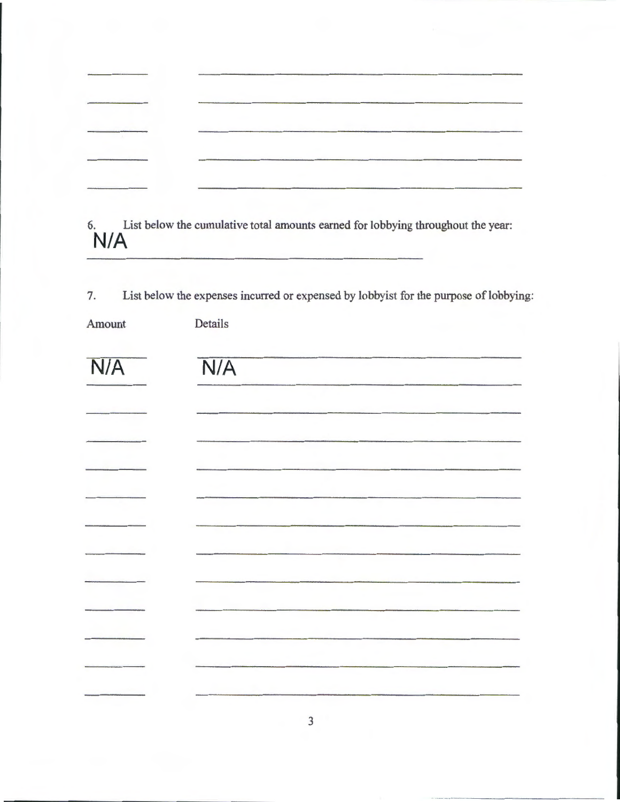| har a shekara |  |
|---------------|--|
|               |  |
|               |  |

6. List below the cumulative total amounts earned for lobbying throughout the year: N/A

7. List below the expenses incurred or expensed by lobbyist for the purpose of lobbying:

| Amount | Details |
|--------|---------|
|        |         |

| N/A | N/A |
|-----|-----|
|     |     |
|     |     |
|     |     |
|     |     |
|     |     |
|     |     |
|     |     |
|     |     |
|     |     |
|     |     |
|     |     |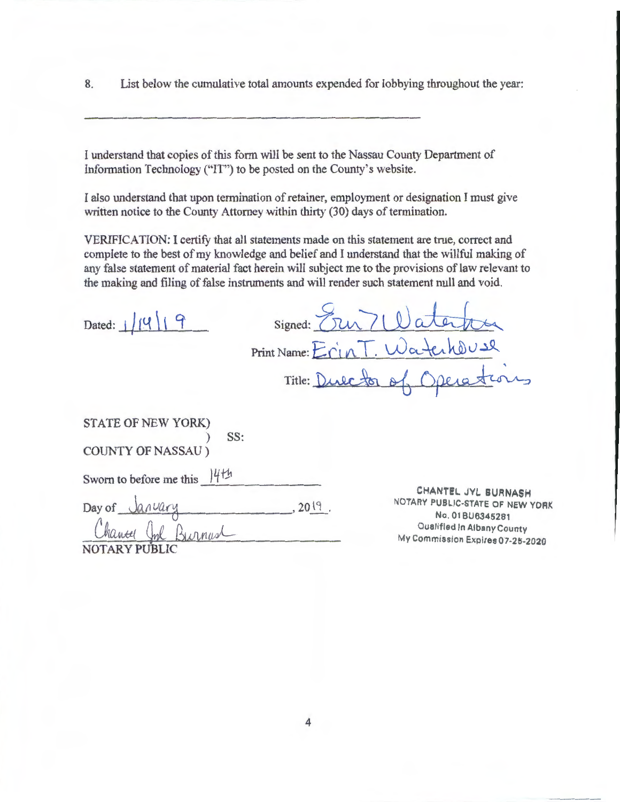8. List below the cumulative total amounts expended for lobbying throughout the year:

I understand that copies of this form will be sent to the Nassau County Department of Information Technology ("IT") to be posted on the County's website.

I also understand that upon termination of retainer, employment or designation I must give written notice to the County Attorney within thirty (30) days of termination.

VERIFICATION: I certify that all statements made on this statement are true, correct and complete to the best of my knowledge and belief and I understand that the willful making of the making and filing of false instruments and will render such statement null and void.

|                                                        | any false statement of material fact herein will subject me to the provisions of law relevant to<br>the making and filing of false instruments and will render such statement null and void. |  |
|--------------------------------------------------------|----------------------------------------------------------------------------------------------------------------------------------------------------------------------------------------------|--|
| Dated: $\frac{1}{1}$                                   | Signed: $71$                                                                                                                                                                                 |  |
|                                                        | Print Name: Erin T. WatchOUSR                                                                                                                                                                |  |
|                                                        | 6 Operation<br>Title: Dulctor &                                                                                                                                                              |  |
| STATE OF NEW YORK)<br>SS:<br><b>COUNTY OF NASSAU</b> ) |                                                                                                                                                                                              |  |
| Sworn to before me this 14th                           |                                                                                                                                                                                              |  |
| Day of January<br>hantel                               | CHANTEL JYL BURNASH<br>NOTARY PUBLIC-STATE OF NEW YORK<br>2019.<br>No. 01BU6345281<br>Qualified In Albany County<br>My Commission Expires 07-25-2020                                         |  |
|                                                        |                                                                                                                                                                                              |  |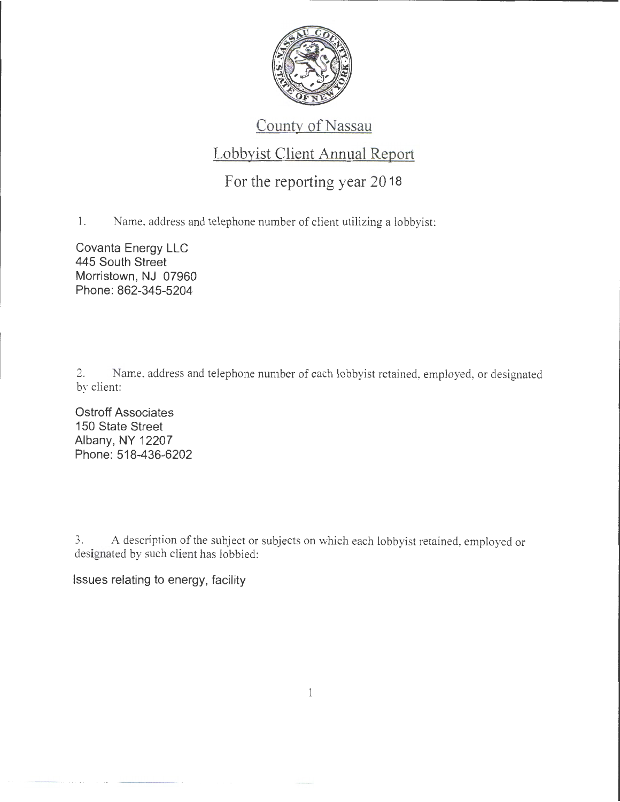

# County of Nassau

### Lobbyist Client Annual Report

### For the reporting year 20 18

1. Name, address and telephone number of client utilizing a lobbyist:

Covanta Energy LLC 445 South Street Morristown, NJ 07960 Phone: 862-345-5204

2. Name, address and telephone number of each lobbyist retained, employed, or designated by client:

Ostroff Associates 150 State Street Albany, NY 12207 Phone: 518-436-6202

3. A description of the subject or subjects on which each lobbyist retained, employed or designated by such client has lobbied:

Issues relating to energy, facility

 $\mathbf{1}$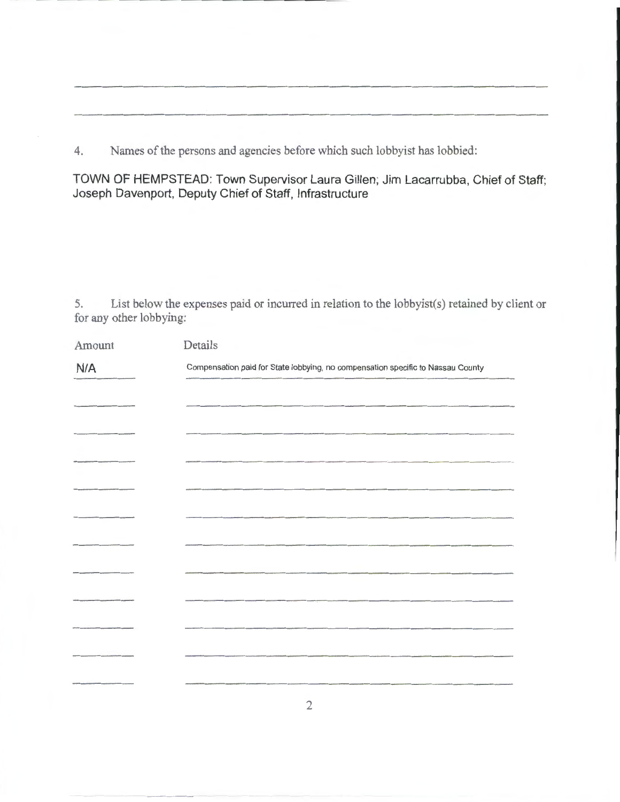4. Names of the persons and agencies before which such lobbyist has lobbied:

**TOWN OF HEMPSTEAD: Town Supervisor Laura Gillen; Jim Lacarrubba, Chief of Staff; Joseph Davenport, Deputy Chief of Staff, Infrastructure** 

5. List below the expenses paid or incurred in relation to the lobbyist(s) retained by client or for any other lobbying:

| Amount | Details                                                                                                         |
|--------|-----------------------------------------------------------------------------------------------------------------|
| N/A    | Compensation paid for State lobbying, no compensation specific to Nassau County                                 |
|        |                                                                                                                 |
|        |                                                                                                                 |
|        |                                                                                                                 |
|        |                                                                                                                 |
|        |                                                                                                                 |
|        |                                                                                                                 |
|        | the contract of the contract of the contract of the contract of the contract of the contract of the contract of |
|        |                                                                                                                 |
|        |                                                                                                                 |
|        |                                                                                                                 |
|        |                                                                                                                 |